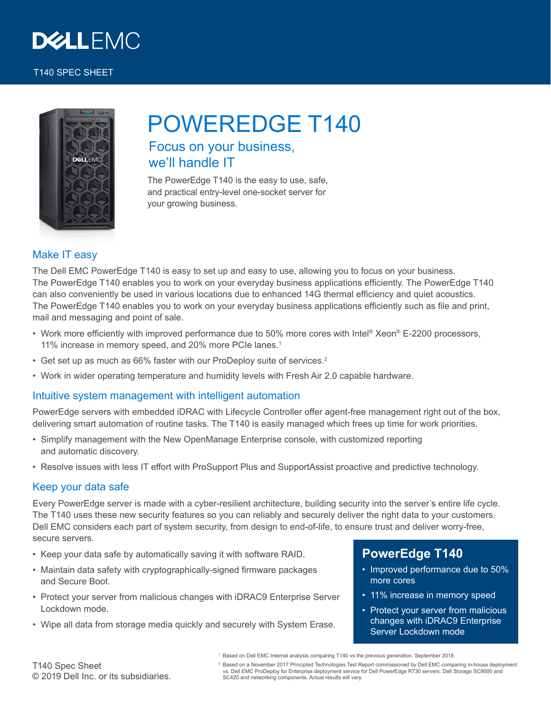

#### T140 SPEC SHEET



# POWEREDGE T140

# Focus on your business, we'll handle IT

The PowerEdge T140 is the easy to use, safe, and practical entry-level one-socket server for your growing business.

## Make IT easy

The Dell EMC PowerEdge T140 is easy to set up and easy to use, allowing you to focus on your business. The PowerEdge T140 enables you to work on your everyday business applications efficiently. The PowerEdge T140 can also conveniently be used in various locations due to enhanced 14G thermal efficiency and quiet acoustics. The PowerEdge T140 enables you to work on your everyday business applications efficiently such as file and print, mail and messaging and point of sale.

- Work more efficiently with improved performance due to 50% more cores with Intel® Xeon® E-2200 processors, 11% increase in memory speed, and 20% more PCIe lanes.<sup>1</sup>
- Get set up as much as 66% faster with our ProDeploy suite of services.<sup>2</sup>
- Work in wider operating temperature and humidity levels with Fresh Air 2.0 capable hardware.

### Intuitive system management with intelligent automation

PowerEdge servers with embedded iDRAC with Lifecycle Controller offer agent-free management right out of the box, delivering smart automation of routine tasks. The T140 is easily managed which frees up time for work priorities.

- Simplify management with the New OpenManage Enterprise console, with customized reporting and automatic discovery.
- Resolve issues with less IT effort with ProSupport Plus and SupportAssist proactive and predictive technology.

### Keep your data safe

Every PowerEdge server is made with a cyber-resilient architecture, building security into the server's entire life cycle. The T140 uses these new security features so you can reliably and securely deliver the right data to your customers. Dell EMC considers each part of system security, from design to end-of-life, to ensure trust and deliver worry-free, secure servers.

- Keep your data safe by automatically saving it with software RAID.
- Maintain data safety with cryptographically-signed firmware packages and Secure Boot.
- Protect your server from malicious changes with iDRAC9 Enterprise Server Lockdown mode.
- Wipe all data from storage media quickly and securely with System Erase.

## **PowerEdge T140**

- Improved performance due to 50% more cores
- 11% increase in memory speed
- Protect your server from malicious changes with iDRAC9 Enterprise Server Lockdown mode

T140 Spec Sheet © 2019 Dell Inc. or its subsidiaries. <sup>2</sup> Based on a November 2017 Principled Technologies Test Report commissioned by Dell EMC comparing in-house deployment vs. Dell EMC ProDeploy for Enterprise deployment service for Dell PowerEdge R730 servers, Dell Storage SC9000 and SC420 and networking components. Actual results will vary.

 $^{\rm 1}$  Based on Dell EMC Internal analysis comparing T140 vs the previous generation. September 2018.